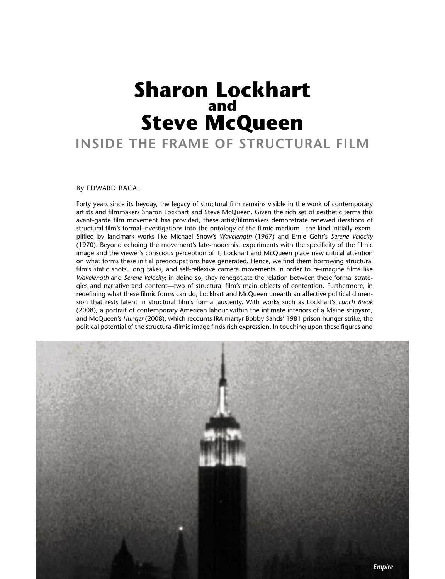# **Sharon Lockhart and Steve McQueen**

## **INSIDE THE FRAME OF STRUCTURAL FILM**

#### By EDWARD BACAL

Forty years since its heyday, the legacy of structural film remains visible in the work of contemporary artists and filmmakers Sharon Lockhart and Steve McQueen. Given the rich set of aesthetic terms this avant-garde film movement has provided, these artist/filmmakers demonstrate renewed iterations of structural film's formal investigations into the ontology of the filmic medium—the kind initially exemplified by landmark works like Michael Snow's *Wavelength* (1967) and Ernie Gehr's *Serene Velocity* (1970). Beyond echoing the movement's late-modernist experiments with the specificity of the filmic image and the viewer's conscious perception of it, Lockhart and McQueen place new critical attention on what forms these initial preoccupations have generated. Hence, we find them borrowing structural film's static shots, long takes, and self-reflexive camera movements in order to re-imagine films like *Wavelength* and *Serene Velocity*; in doing so, they renegotiate the relation between these formal strategies and narrative and content—two of structural film's main objects of contention. Furthermore, in redefining what these filmic forms can do, Lockhart and McQueen unearth an affective political dimension that rests latent in structural film's formal austerity. With works such as Lockhart's *Lunch Break* (2008), a portrait of contemporary American labour within the intimate interiors of a Maine shipyard, and McQueen's *Hunger* (2008), which recounts IRA martyr Bobby Sands' 1981 prison hunger strike, the political potential of the structural-filmic image finds rich expression. In touching upon these figures and

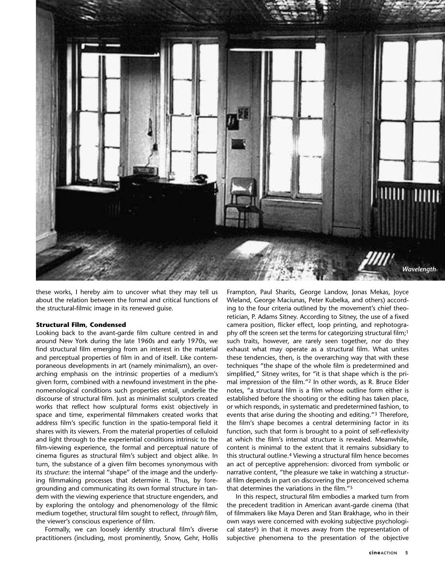

these works, I hereby aim to uncover what they may tell us about the relation between the formal and critical functions of the structural-filmic image in its renewed guise.

#### **Structural Film, Condensed**

Looking back to the avant-garde film culture centred in and around New York during the late 1960s and early 1970s, we find structural film emerging from an interest in the material and perceptual properties of film in and of itself. Like contemporaneous developments in art (namely minimalism), an overarching emphasis on the intrinsic properties of a medium's given form, combined with a newfound investment in the phenomenological conditions such properties entail, underlie the discourse of structural film. Just as minimalist sculptors created works that reflect how sculptural forms exist objectively in space and time, experimental filmmakers created works that address film's specific function in the spatio-temporal field it shares with its viewers. From the material properties of celluloid and light through to the experiential conditions intrinsic to the film-viewing experience, the formal and perceptual nature of cinema figures as structural film's subject and object alike. In turn, the substance of a given film becomes synonymous with its *structure*: the internal "shape" of the image and the underlying filmmaking processes that determine it. Thus, by foregrounding and communicating its own formal structure in tandem with the viewing experience that structure engenders, and by exploring the ontology and phenomenology of the filmic medium together, structural film sought to reflect, *through* film, the viewer's conscious experience *of* film.

Formally, we can loosely identify structural film's diverse practitioners (including, most prominently, Snow, Gehr, Hollis

Frampton, Paul Sharits, George Landow, Jonas Mekas, Joyce Wieland, George Maciunas, Peter Kubelka, and others) according to the four criteria outlined by the movement's chief theoretician, P. Adams Sitney. According to Sitney, the use of a fixed camera position, flicker effect, loop printing, and rephotography off the screen set the terms for categorizing structural film;<sup>1</sup> such traits, however, are rarely seen together, nor do they exhaust what may operate as a structural film. What unites these tendencies, then, is the overarching way that with these techniques "the shape of the whole film is predetermined and simplified," Sitney writes, for "it is that shape which is the primal impression of the film."2 In other words, as R. Bruce Elder notes, "a structural film is a film whose outline form either is established before the shooting or the editing has taken place, or which responds, in systematic and predetermined fashion, to events that arise during the shooting and editing."3 Therefore, the film's shape becomes a central determining factor in its function, such that form is brought to a point of self-reflexivity at which the film's internal structure is revealed. Meanwhile, content is minimal to the extent that it remains subsidiary to this structural outline.4 Viewing a structural film hence becomes an act of perceptive apprehension: divorced from symbolic or narrative content, "the pleasure we take in watching a structural film depends in part on discovering the preconceived schema that determines the variations in the film."5

In this respect, structural film embodies a marked turn from the precedent tradition in American avant-garde cinema (that of filmmakers like Maya Deren and Stan Brakhage, who in their own ways were concerned with evoking subjective psychological states<sup>6</sup>) in that it moves away from the representation of subjective phenomena to the presentation of the objective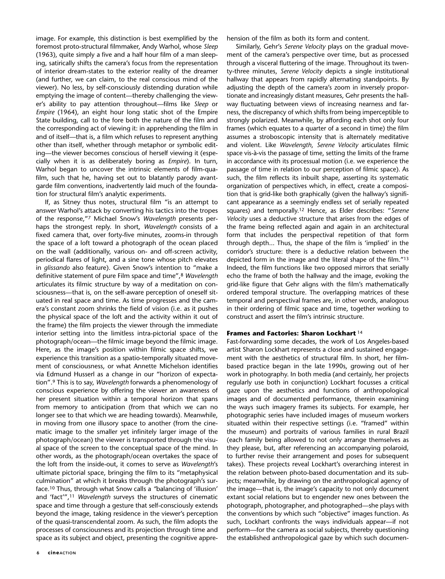image. For example, this distinction is best exemplified by the foremost proto-structural filmmaker, Andy Warhol, whose *Sleep* (1963), quite simply a five and a half hour film of a man sleeping, satirically shifts the camera's focus from the representation of interior dream-states to the exterior reality of the dreamer (and further, we can claim, to the real conscious mind of the viewer). No less, by self-consciously distending duration while emptying the image of content—thereby challenging the viewer's ability to pay attention throughout—films like *Sleep* or *Empire* (1964), an eight hour long static shot of the Empire State building, call to the fore both the nature of the film and the corresponding act of viewing it: in apprehending the film in and of itself—that is, a film which refuses to represent anything other than itself, whether through metaphor or symbolic editing—the viewer becomes conscious of herself viewing it (especially when it is as deliberately boring as *Empire*). In turn, Warhol began to uncover the intrinsic elements of film-quafilm, such that he, having set out to blatantly parody avantgarde film conventions, inadvertently laid much of the foundation for structural film's analytic experiments.

If, as Sitney thus notes, structural film "is an attempt to answer Warhol's attack by converting his tactics into the tropes of the response,"7 Michael Snow's *Wavelength* presents perhaps the strongest reply. In short, *Wavelength* consists of a fixed camera that, over forty-five minutes, zooms-in through the space of a loft toward a photograph of the ocean placed on the wall (additionally, various on- and off-screen activity, periodical flares of light, and a sine tone whose pitch elevates in *glissando* also feature). Given Snow's intention to "make a definitive statement of pure Film space and time",8 *Wavelength* articulates its filmic structure by way of a meditation on consciousness—that is, on the self-aware perception of oneself situated in real space and time. As time progresses and the camera's constant zoom shrinks the field of vision (i.e. as it pushes the physical space of the loft and the activity within it out of the frame) the film projects the viewer through the immediate interior setting into the limitless intra-pictorial space of the photograph/ocean—the filmic image beyond the filmic image. Here, as the image's position within filmic space shifts, we experience this transition as a spatio-temporally situated movement of consciousness, or what Annette Michelson identifies via Edmund Husserl as a change in our "horizon of expectation".9 This is to say, *Wavelength* forwards a phenomenology of conscious experience by offering the viewer an awareness of her present situation within a temporal horizon that spans from memory to anticipation (from that which we can no longer see to that which we are heading towards). Meanwhile, in moving from one illusory space to another (from the cinematic image to the smaller yet infinitely larger image of the photograph/ocean) the viewer is transported through the visual space of the screen to the conceptual space of the mind. In other words, as the photograph/ocean overtakes the space of the loft from the inside-out, it comes to serve as *Wavelength*'s ultimate pictorial space, bringing the film to its "metaphysical culmination" at which it breaks through the photograph's surface.10 Thus, through what Snow calls a *"*balancing of 'illusion' and 'fact'",11 *Wavelength* surveys the structures of cinematic space and time through a gesture that self-consciously extends beyond the image, taking residence in the viewer's perception of the quasi-transcendental zoom. As such, the film adopts the processes of consciousness and its projection through time and space as its subject and object, presenting the cognitive appre-

**6 cineACTION**

hension of the film as both its form and content.

Similarly, Gehr's *Serene Velocity* plays on the gradual movement of the camera's perspective over time, but as processed through a visceral fluttering of the image. Throughout its twenty-three minutes, *Serene Velocity* depicts a single institutional hallway that appears from rapidly alternating standpoints. By adjusting the depth of the camera's zoom in inversely proportionate and increasingly distant measures, Gehr presents the hallway fluctuating between views of increasing nearness and farness, the discrepancy of which shifts from being imperceptible to strongly polarized. Meanwhile, by affording each shot only four frames (which equates to a quarter of a second in time) the film assumes a stroboscopic intensity that is alternately meditative and violent. Like *Wavelength*, *Serene Velocity* articulates filmic space vis-à-vis the passage of time, setting the limits of the frame in accordance with its processual motion (i.e. we experience the passage of time in relation to our perception of filmic space). As such, the film reflects its inbuilt shape, asserting its systematic organization of perspectives which, in effect, create a composition that is grid-like both graphically (given the hallway's significant appearance as a seemingly endless set of serially repeated squares) and temporally.12 Hence, as Elder describes: "*Serene Velocity* uses a deductive structure that arises from the edges of the frame being reflected again and again in an architectural form that includes the perspectival repetition of that form through depth... Thus, the shape of the film is 'implied' in the corridor's structure: there is a deductive relation between the depicted form in the image and the literal shape of the film."13 Indeed, the film functions like two opposed mirrors that serially echo the frame of both the hallway and the image, evoking the grid-like figure that Gehr aligns with the film's mathematically ordered temporal structure. The overlapping matrices of these temporal and perspectival frames are, in other words, analogous in their ordering of filmic space and time, together working to construct and assert the film's intrinsic structure.

### **Frames and Factories: Sharon Lockhart** <sup>14</sup>

Fast-forwarding some decades, the work of Los Angeles-based artist Sharon Lockhart represents a close and sustained engagement with the aesthetics of structural film. In short, her filmbased practice began in the late 1990s, growing out of her work in photography. In both media (and certainly, her projects regularly use both in conjunction) Lockhart focusses a critical gaze upon the aesthetics and functions of anthropological images and of documented performance, therein examining the ways such imagery frames its subjects. For example, her photographic series have included images of museum workers situated within their respective settings (i.e. "framed" within the museum) and portraits of various families in rural Brazil (each family being allowed to not only arrange themselves as they please, but, after referencing an accompanying polaroid, to further revise their arrangement and poses for subsequent takes). These projects reveal Lockhart's overarching interest in the relation between photo-based documentation and its subjects; meanwhile, by drawing on the anthropological agency of the image—that is, the image's capacity to not only document extant social relations but to engender new ones between the photograph, photographer, and photographed—she plays with the conventions by which such "objective" images function. As such, Lockhart confronts the ways individuals appear—if not perform—for the camera as social subjects, thereby questioning the established anthropological gaze by which such documen-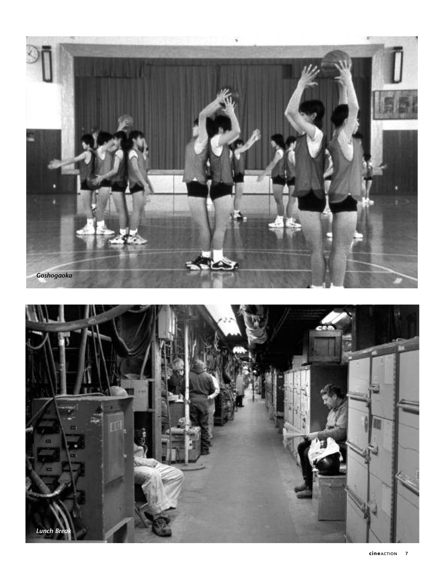

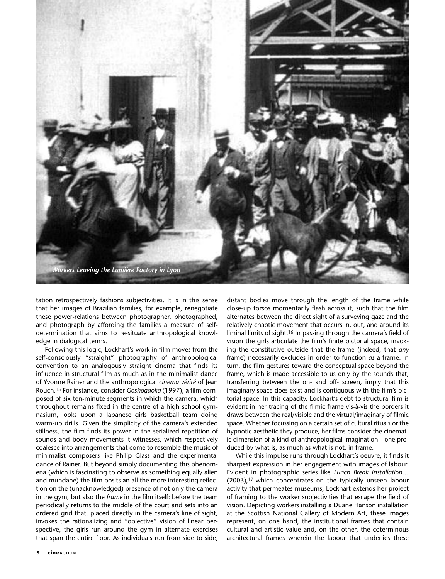

tation retrospectively fashions subjectivities. It is in this sense that her images of Brazilian families, for example, renegotiate these power-relations between photographer, photographed, and photograph by affording the families a measure of selfdetermination that aims to re-situate anthropological knowledge in dialogical terms.

Following this logic, Lockhart's work in film moves from the self-consciously "straight" photography of anthropological convention to an analogously straight cinema that finds its influence in structural film as much as in the minimalist dance of Yvonne Rainer and the anthropological *cinema vérité* of Jean Rouch.15 For instance, consider *Goshogaoka* (1997), a film composed of six ten-minute segments in which the camera, which throughout remains fixed in the centre of a high school gymnasium, looks upon a Japanese girls basketball team doing warm-up drills. Given the simplicity of the camera's extended stillness, the film finds its power in the serialized repetition of sounds and body movements it witnesses, which respectively coalesce into arrangements that come to resemble the music of minimalist composers like Philip Glass and the experimental dance of Rainer. But beyond simply documenting this phenomena (which is fascinating to observe as something equally alien and mundane) the film posits an all the more interesting reflection on the (unacknowledged) presence of not only the camera in the gym, but also the *frame* in the film itself: before the team periodically returns to the middle of the court and sets into an ordered grid that, placed directly in the camera's line of sight, invokes the rationalizing and "objective" vision of linear perspective, the girls run around the gym in alternate exercises that span the entire floor. As individuals run from side to side,

distant bodies move through the length of the frame while close-up torsos momentarily flash across it, such that the film alternates between the direct sight of a surveying gaze and the relatively chaotic movement that occurs in, out, and around its liminal limits of sight.16 In passing through the camera's field of vision the girls articulate the film's finite pictorial space, invoking the constitutive outside that the frame (indeed, that *any* frame) necessarily excludes in order to function *as* a frame. In turn, the film gestures toward the conceptual space beyond the frame, which is made accessible to us only by the sounds that, transferring between the on- and off- screen, imply that this imaginary space does exist and is contiguous with the film's pictorial space. In this capacity, Lockhart's debt to structural film is evident in her tracing of the filmic frame vis-à-vis the borders it draws between the real/visible and the virtual/imaginary of filmic space. Whether focussing on a certain set of cultural rituals or the hypnotic aesthetic they produce, her films consider the cinematic dimension of a kind of anthropological imagination—one produced by what is, as much as what is not, in frame.

While this impulse runs through Lockhart's oeuvre, it finds it sharpest expression in her engagement with images of labour. Evident in photographic series like *Lunch Break Installation…* (2003),17 which concentrates on the typically unseen labour activity that permeates museums, Lockhart extends her project of framing to the worker subjectivities that escape the field of vision. Depicting workers installing a Duane Hanson installation at the Scottish National Gallery of Modern Art, these images represent, on one hand, the institutional frames that contain cultural and artistic value and, on the other, the coterminous architectural frames wherein the labour that underlies these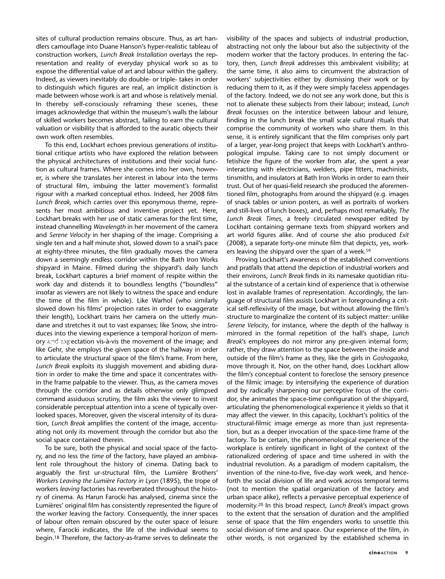sites of cultural production remains obscure. Thus, as art handlers camouflage into Duane Hanson's hyper-realistic tableau of construction workers, *Lunch Break Installation* overlays the representation and reality of everyday physical work so as to expose the differential value of art and labour within the gallery. Indeed, as viewers inevitably do double- or triple- takes in order to distinguish which figures are real, an implicit distinction is made between whose work is art and whose is relatively menial. In thereby self-consciously reframing these scenes, these images acknowledge that within the museum's walls the labour of skilled workers becomes abstract, failing to earn the cultural valuation or visibility that is afforded to the auratic objects their own work often resembles.

To this end, Lockhart echoes previous generations of institutional critique artists who have explored the relation between the physical architectures of institutions and their social function as cultural frames. Where she comes into her own, however, is where she translates her interest in labour into the terms of structural film, imbuing the latter movement's formalist rigour with a marked conceptual ethos. Indeed, her 2008 film *Lunch Break,* which carries over this eponymous theme, represents her most ambitious and inventive project yet. Here, Lockhart breaks with her use of static cameras for the first time, instead channelling *Wavelength* in her movement of the camera and *Serene Velocity* in her shaping of the image. Comprising a single ten and a half minute shot, slowed down to a snail's pace at eighty-three minutes, the film gradually moves the camera down a seemingly endless corridor within the Bath Iron Works shipyard in Maine. Filmed during the shipyard's daily lunch break, Lockhart captures a brief moment of respite within the work day and distends it to boundless lengths ("boundless" insofar as viewers are not likely to witness the space and endure the time of the film in whole). Like Warhol (who similarly slowed down his films' projection rates in order to exaggerate their length), Lockhart trains her camera on the utterly mundane and stretches it out to vast expanses; like Snow, she introduces into the viewing experience a temporal horizon of memory and expectation vis-à-vis the movement of the image; and *Drumroll*like Gehr, she employs the given space of the hallway in order to articulate the structural space of the film's frame. From here, *Lunch Break* exploits its sluggish movement and abiding duration in order to make the time and space it concentrates within the frame palpable to the viewer. Thus, as the camera moves through the corridor and as details otherwise only glimpsed command assiduous scrutiny, the film asks the viewer to invest considerable perceptual attention into a scene of typically overlooked spaces. Moreover, given the visceral intensity of its duration, *Lunch Break* amplifies the content of the image, accentuating not only its movement through the corridor but also the social space contained therein.

To be sure, both the physical and social space of the factory, and no less the *time* of the factory, have played an ambivalent role throughout the history of cinema. Dating back to arguably the first ur*-*structural film, the Lumière Brothers' *Workers Leaving the Lumière Factory in Lyon* (1895), the trope of workers *leaving* factories has reverberated throughout the history of cinema. As Harun Farocki has analysed, cinema since the Lumières' original film has consistently represented the figure of the worker leaving the factory. Consequently, the inner spaces of labour often remain obscured by the outer space of leisure where, Farocki indicates, the life of the individual seems to begin.18 Therefore, the factory-as-frame serves to delineate the visibility of the spaces and subjects of industrial production, abstracting not only the labour but also the subjectivity of the modern worker that the factory produces. In entering the factory, then, *Lunch Break* addresses this ambivalent visibility; at the same time, it also aims to circumvent the abstraction of workers' subjectivities either by dismissing their work or by reducing them to it, as if they were simply faceless appendages of the factory. Indeed, we do not see any work done, but this is not to alienate these subjects from their labour; instead, *Lunch Break* focusses on the interstice between labour and leisure, finding in the lunch break the small scale cultural rituals that comprise the community of workers who share them. In this sense, it is entirely significant that the film comprises only part of a larger, year-long project that keeps with Lockhart's anthropological impulse. Taking care to not simply document or fetishize the figure of the worker from afar, she spent a year interacting with electricians, welders, pipe fitters, machinists, tinsmiths, and insulators at Bath Iron Works in order to earn their trust. Out of her quasi-field research she produced the aforementioned film, photographs from around the shipyard (e.g. images of snack tables or union posters, as well as portraits of workers and still-lives of lunch boxes), and, perhaps most remarkably, *The Lunch Break Times*, a freely circulated newspaper edited by Lockhart containing germane texts from shipyard workers and art world figures alike. And of course she also produced *Exit* (2008), a separate forty-one minute film that depicts, yes, workers leaving the shipyard over the span of a week.19

Proving Lockhart's awareness of the established conventions and pratfalls that attend the depiction of industrial workers and their environs, *Lunch Break* finds in its namesake quotidian ritual the substance of a certain kind of experience that is otherwise lost in available frames of representation. Accordingly, the language of structural film assists Lockhart in foregrounding a critical self-reflexivity of the image, but without allowing the film's structure to marginalize the content of its subject matter: unlike *Serene Velocity*, for instance, where the depth of the hallway is mirrored in the formal repetition of the hall's shape, *Lunch Break*'s employees do not mirror any pre-given internal form; rather, they draw attention to the space between the inside and outside of the film's frame as they, like the girls in *Goshogaoka*, move through it. Nor, on the other hand, does Lockhart allow the film's conceptual content to foreclose the sensory presence of the filmic image: by intensifying the experience of duration and by radically sharpening our perceptive focus of the corridor, she animates the space-time configuration of the shipyard, articulating the phenomenological experience it yields so that it may affect the viewer. In this capacity, Lockhart's politics of the structural-filmic image emerge as more than just representation, but as a deeper invocation of the space-time frame of the factory. To be certain, the phenomenological experience of the workplace is entirely significant in light of the context of the rationalized ordering of space and time ushered in with the industrial revolution. As a paradigm of modern capitalism, the invention of the nine-to-five, five-day work week, and henceforth the social division of life and work across temporal terms (not to mention the spatial organization of the factory and urban space alike), reflects a pervasive perceptual experience of modernity.20 In this broad respect, *Lunch Break*'s impact grows to the extent that the sensation of duration and the amplified sense of space that the film engenders works to unsettle this social division of time and space. Our experience of the film, in other words, is not organized by the established schema in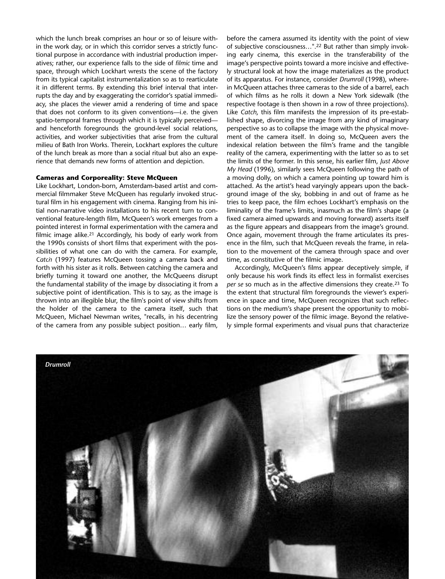which the lunch break comprises an hour or so of leisure within the work day, or in which this corridor serves a strictly functional purpose in accordance with industrial production imperatives; rather, our experience falls to the side of *filmic* time and space, through which Lockhart wrests the scene of the factory from its typical capitalist instrumentalization so as to rearticulate it in different terms. By extending this brief interval that interrupts the day and by exaggerating the corridor's spatial immediacy, she places the viewer amid a rendering of time and space that does not conform to its given conventions—i.e. the given spatio-temporal frames through which it is typically perceived and henceforth foregrounds the ground-level social relations, activities, and worker subjectivities that arise from the cultural milieu of Bath Iron Works. Therein, Lockhart explores the culture of the lunch break as more than a social ritual but also an experience that demands new forms of attention and depiction.

#### **Cameras and Corporeality: Steve McQueen**

Like Lockhart, London-born, Amsterdam-based artist and commercial filmmaker Steve McQueen has regularly invoked structural film in his engagement with cinema. Ranging from his initial non-narrative video installations to his recent turn to conventional feature-length film, McQueen's work emerges from a pointed interest in formal experimentation with the camera and filmic image alike.<sup>21</sup> Accordingly, his body of early work from the 1990s consists of short films that experiment with the possibilities of what one can do with the camera. For example, *Catch* (1997) features McQueen tossing a camera back and *Hunger* forth with his sister as it rolls. Between catching the camera and briefly turning it toward one another, the McQueens disrupt the fundamental stability of the image by dissociating it from a subjective point of identification. This is to say, as the image is thrown into an illegible blur, the film's point of view shifts from the holder of the camera to the camera itself, such that McQueen, Michael Newman writes, "recalls, in his decentring of the camera from any possible subject position… early film,

before the camera assumed its identity with the point of view of subjective consciousness…".22 But rather than simply invoking early cinema, this exercise in the transferability of the image's perspective points toward a more incisive and effectively structural look at how the image materializes as the product of its apparatus. For instance, consider *Drumroll* (1998), wherein McQueen attaches three cameras to the side of a barrel, each of which films as he rolls it down a New York sidewalk (the respective footage is then shown in a row of three projections). Like *Catch*, this film manifests the impression of its pre-established shape, divorcing the image from any kind of imaginary perspective so as to collapse the image with the physical movement of the camera itself. In doing so, McQueen avers the indexical relation between the film's frame and the tangible reality of the camera, experimenting with the latter so as to set the limits of the former. In this sense, his earlier film, *Just Above My Head* (1996), similarly sees McQueen following the path of a moving dolly, on which a camera pointing up toward him is attached. As the artist's head varyingly appears upon the background image of the sky, bobbing in and out of frame as he tries to keep pace, the film echoes Lockhart's emphasis on the liminality of the frame's limits, inasmuch as the film's shape (a fixed camera aimed upwards and moving forward) asserts itself as the figure appears and disappears from the image's ground. Once again, movement through the frame articulates its presence in the film, such that McQueen reveals the frame, in relation to the movement of the camera through space and over time, as constitutive of the filmic image.

Accordingly, McQueen's films appear deceptively simple, if only because his work finds its effect less in formalist exercises *per se* so much as in the affective dimensions they create.23 To the extent that structural film foregrounds the viewer's experience in space and time, McQueen recognizes that such reflections on the medium's shape present the opportunity to mobilize the sensory power of the filmic image. Beyond the relatively simple formal experiments and visual puns that characterize

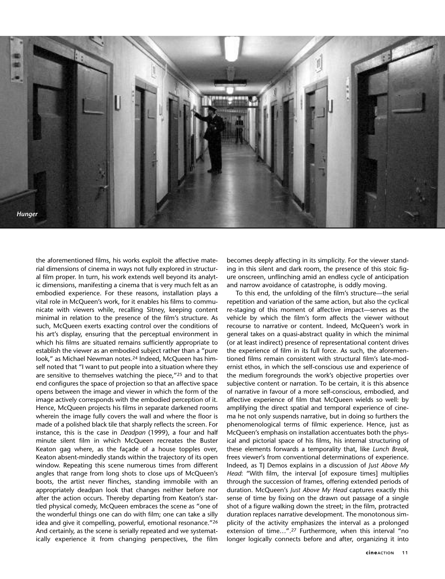

the aforementioned films, his works exploit the affective material dimensions of cinema in ways not fully explored in structural film proper. In turn, his work extends well beyond its analytic dimensions, manifesting a cinema that is very much felt as an embodied experience. For these reasons, installation plays a vital role in McQueen's work, for it enables his films to communicate with viewers while, recalling Sitney, keeping content minimal in relation to the presence of the film's structure. As such, McQueen exerts exacting control over the conditions of his art's display, ensuring that the perceptual environment in which his films are situated remains sufficiently appropriate to establish the viewer as an embodied subject rather than a "pure look," as Michael Newman notes.24 Indeed, McQueen has himself noted that "I want to put people into a situation where they are sensitive to themselves watching the piece,"25 and to that end configures the space of projection so that an affective space opens between the image and viewer in which the form of the image actively corresponds with the embodied perception of it. Hence, McQueen projects his films in separate darkened rooms wherein the image fully covers the wall and where the floor is made of a polished black tile that sharply reflects the screen. For instance, this is the case in *Deadpan* (1999), a four and half minute silent film in which McQueen recreates the Buster Keaton gag where, as the façade of a house topples over, Keaton absent-mindedly stands within the trajectory of its open window. Repeating this scene numerous times from different angles that range from long shots to close ups of McQueen's boots, the artist never flinches, standing immobile with an appropriately deadpan look that changes neither before nor after the action occurs. Thereby departing from Keaton's startled physical comedy, McQueen embraces the scene as "one of the wonderful things one can do with film; one can take a silly idea and give it compelling, powerful, emotional resonance."26 And certainly, as the scene is serially repeated and we systematically experience it from changing perspectives, the film

becomes deeply affecting in its simplicity. For the viewer standing in this silent and dark room, the presence of this stoic figure onscreen, unflinching amid an endless cycle of anticipation and narrow avoidance of catastrophe, is oddly moving.

To this end, the unfolding of the film's structure—the serial repetition and variation of the same action, but also the cyclical re-staging of this moment of affective impact—serves as the vehicle by which the film's form affects the viewer without recourse to narrative or content. Indeed, McQueen's work in general takes on a quasi-abstract quality in which the minimal (or at least indirect) presence of representational content drives the experience of film in its full force. As such, the aforementioned films remain consistent with structural film's late-modernist ethos, in which the self-conscious use and experience of the medium foregrounds the work's objective properties over subjective content or narration. To be certain, it is this absence of narrative in favour of a more self-conscious, embodied, and affective experience of film that McQueen wields so well: by amplifying the direct spatial and temporal experience of cinema he not only suspends narrative, but in doing so furthers the phenomenological terms of filmic experience. Hence, just as McQueen's emphasis on installation accentuates both the physical and pictorial space of his films, his internal structuring of these elements forwards a temporality that, like *Lunch Break*, frees viewer's from conventional determinations of experience. Indeed, as TJ Demos explains in a discussion of *Just Above My Head*: "With film, the interval [of exposure times] multiplies through the succession of frames, offering extended periods of duration. McQueen's *Just Above My Head* captures exactly this sense of time by fixing on the drawn out passage of a single shot of a figure walking down the street; in the film, protracted duration replaces narrative development. The monotonous simplicity of the activity emphasizes the interval as a prolonged extension of time…".27 Furthermore, when this interval "no longer logically connects before and after, organizing it into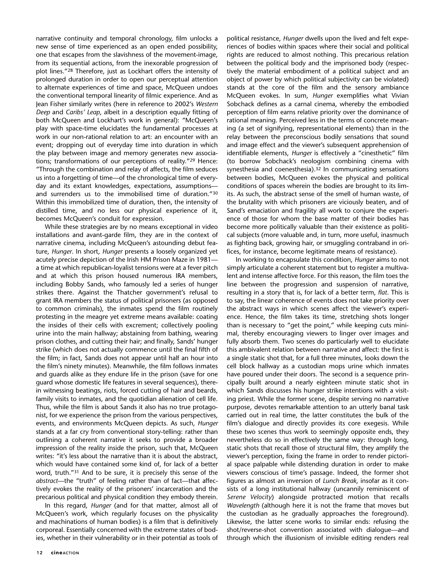narrative continuity and temporal chronology, film unlocks a new sense of time experienced as an open ended possibility, one that escapes from the slavishness of the movement-image, from its sequential actions, from the inexorable progression of plot lines."28 Therefore, just as Lockhart offers the intensity of prolonged duration in order to open our perceptual attention to alternate experiences of time and space, McQueen undoes the conventional temporal linearity of filmic experience. And as Jean Fisher similarly writes (here in reference to 2002's *Western Deep* and *Caribs' Leap*, albeit in a description equally fitting of both McQueen and Lockhart's work in general): "McQueen's play with space-time elucidates the fundamental processes at work in our non-rational relation to art: an encounter with an event; dropping out of everyday time into duration in which the play between image and memory generates new associations; transformations of our perceptions of reality."29 Hence: "Through the combination and relay of affects, the film seduces us into a forgetting of time—of the chronological time of everyday and its extant knowledges, expectations, assumptions and surrenders us to the immobilised time of duration."30 Within this immobilized time of duration, then, the intensity of distilled time, and no less our physical experience of it, becomes McQueen's conduit for expression.

While these strategies are by no means exceptional in video installations and avant-garde film, they are in the context of narrative cinema, including McQueen's astounding debut feature, *Hunger*. In short, *Hunger* presents a loosely organized yet acutely precise depiction of the Irish HM Prison Maze in 1981 a time at which republican-loyalist tensions were at a fever pitch and at which this prison housed numerous IRA members, including Bobby Sands, who famously led a series of hunger strikes there. Against the Thatcher government's refusal to grant IRA members the status of political prisoners (as opposed to common criminals), the inmates spend the film routinely protesting in the meagre yet extreme means available: coating the insides of their cells with excrement; collectively pooling urine into the main hallway; abstaining from bathing, wearing prison clothes, and cutting their hair; and finally, Sands' hunger strike (which does not actually commence until the final fifth of the film; in fact, Sands does not appear until half an hour into the film's ninety minutes). Meanwhile, the film follows inmates and guards alike as they endure life in the prison (save for one guard whose domestic life features in several sequences), therein witnessing beatings, riots, forced cutting of hair and beards, family visits to inmates, and the quotidian alienation of cell life. Thus, while the film is about Sands it also has no true protagonist, for we experience the prison from the various perspectives, events, and environments McQueen depicts. As such, *Hunger* stands at a far cry from conventional story-telling: rather than outlining a coherent narrative it seeks to provide a broader impression of the reality inside the prison, such that, McQueen writes: "it's less about the narrative than it is about the abstract, which would have contained some kind of, for lack of a better word, truth."31 And to be sure, it is precisely this sense of the *abstract*—the "truth" of feeling rather than of fact—that affectively evokes the reality of the prisoners' incarceration and the precarious political and physical condition they embody therein.

In this regard, *Hunger* (and for that matter, almost all of McQueen's work, which regularly focuses on the physicality and machinations of human bodies) is a film that is definitively corporeal. Essentially concerned with the extreme states of bodies, whether in their vulnerability or in their potential as tools of

political resistance, *Hunger* dwells upon the lived and felt experiences of bodies within spaces where their social and political rights are reduced to almost nothing. This precarious relation between the political body and the imprisoned body (respectively the material embodiment of a political subject and an object of power by which political subjectivity can be violated) stands at the core of the film and the sensory ambiance McQueen evokes. In sum, *Hunger* exemplifies what Vivian Sobchack defines as a carnal cinema, whereby the embodied perception of film earns relative priority over the dominance of rational meaning. Perceived less in the terms of concrete meaning (a set of signifying, representational elements) than in the relay between the preconscious bodily sensations that sound and image effect and the viewer's subsequent apprehension of identifiable elements, *Hunger* is effectively a "cinesthetic" film (to borrow Sobchack's neologism combining cinema with synesthesia and coenesthesia).<sup>32</sup> In communicating sensations between bodies, McQueen evokes the physical and political conditions of spaces wherein the bodies are brought to its limits. As such, the abstract sense of the smell of human waste, of the brutality with which prisoners are viciously beaten, and of Sand's emaciation and fragility all work to conjure the experience of those for whom the base matter of their bodies has become more politically valuable than their existence as political subjects (more valuable and, in turn, more useful, inasmuch as fighting back, growing hair, or smuggling contraband in orifices, for instance, become legitimate means of resistance).

In working to encapsulate this condition, *Hunger* aims to not simply articulate a coherent statement but to register a multivalent and intense affective force. For this reason, the film toes the line between the progression and suspension of narrative, resulting in a story that is, for lack of a better term, *flat*. This is to say, the linear coherence of events does not take priority over the abstract ways in which scenes affect the viewer's experience. Hence, the film takes its time, stretching shots longer than is necessary to "get the point," while keeping cuts minimal, thereby encouraging viewers to linger over images and fully absorb them. Two scenes do particularly well to elucidate this ambivalent relation between narrative and affect: the first is a single static shot that, for a full three minutes, looks down the cell block hallway as a custodian mops urine which inmates have poured under their doors. The second is a sequence principally built around a nearly eighteen minute static shot in which Sands discusses his hunger strike intentions with a visiting priest. While the former scene, despite serving no narrative purpose, devotes remarkable attention to an utterly banal task carried out in real time, the latter constitutes the bulk of the film's dialogue and directly provides its core exegesis. While these two scenes thus work to seemingly opposite ends, they nevertheless do so in effectively the same way: through long, static shots that recall those of structural film, they amplify the viewer's perception, fixing the frame in order to render pictorial space palpable while distending duration in order to make viewers conscious of time's passage. Indeed, the former shot figures as almost an inversion of *Lunch Break*, insofar as it consists of a long institutional hallway (uncannily reminiscent of *Serene Velocity*) alongside protracted motion that recalls *Wavelength* (although here it is not the frame that moves but the custodian as he gradually approaches the foreground). Likewise, the latter scene works to similar ends: refusing the shot/reverse-shot convention associated with dialogue—and through which the illusionism of invisible editing renders real